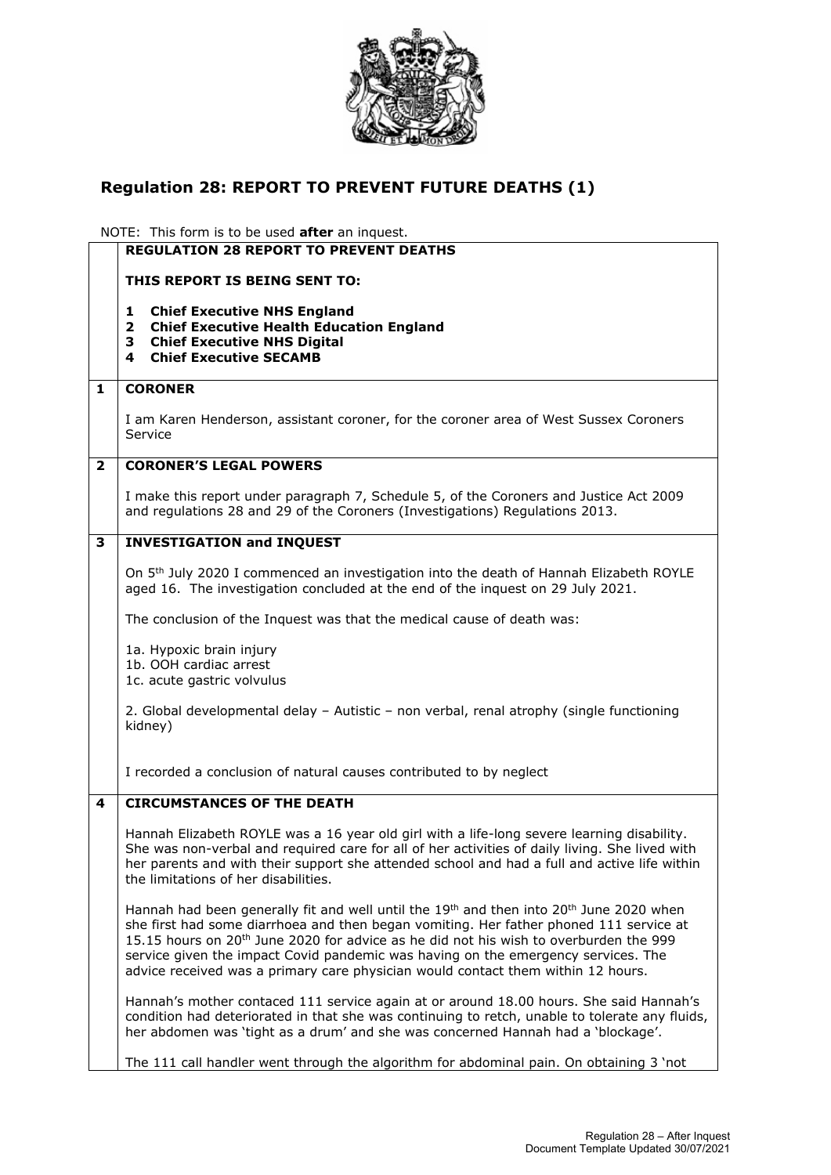

## **Regulation 28: REPORT TO PREVENT FUTURE DEATHS (1)**

NOTE: This form is to be used **after** an inquest.

|   | <b>REGULATION 28 REPORT TO PREVENT DEATHS</b>                                                                                                                                                                                                                                                                                                                                                                                                                                           |
|---|-----------------------------------------------------------------------------------------------------------------------------------------------------------------------------------------------------------------------------------------------------------------------------------------------------------------------------------------------------------------------------------------------------------------------------------------------------------------------------------------|
|   | THIS REPORT IS BEING SENT TO:                                                                                                                                                                                                                                                                                                                                                                                                                                                           |
|   | <b>Chief Executive NHS England</b><br>1<br><b>Chief Executive Health Education England</b><br>$\overline{2}$<br><b>Chief Executive NHS Digital</b><br>З<br><b>Chief Executive SECAMB</b><br>4                                                                                                                                                                                                                                                                                           |
| 1 | <b>CORONER</b>                                                                                                                                                                                                                                                                                                                                                                                                                                                                          |
|   | I am Karen Henderson, assistant coroner, for the coroner area of West Sussex Coroners<br>Service                                                                                                                                                                                                                                                                                                                                                                                        |
| 2 | <b>CORONER'S LEGAL POWERS</b>                                                                                                                                                                                                                                                                                                                                                                                                                                                           |
|   | I make this report under paragraph 7, Schedule 5, of the Coroners and Justice Act 2009<br>and regulations 28 and 29 of the Coroners (Investigations) Regulations 2013.                                                                                                                                                                                                                                                                                                                  |
| 3 | <b>INVESTIGATION and INQUEST</b>                                                                                                                                                                                                                                                                                                                                                                                                                                                        |
|   | On 5 <sup>th</sup> July 2020 I commenced an investigation into the death of Hannah Elizabeth ROYLE<br>aged 16. The investigation concluded at the end of the inquest on 29 July 2021.                                                                                                                                                                                                                                                                                                   |
|   | The conclusion of the Inquest was that the medical cause of death was:                                                                                                                                                                                                                                                                                                                                                                                                                  |
|   | 1a. Hypoxic brain injury<br>1b. OOH cardiac arrest<br>1c. acute gastric volvulus                                                                                                                                                                                                                                                                                                                                                                                                        |
|   | 2. Global developmental delay - Autistic - non verbal, renal atrophy (single functioning<br>kidney)                                                                                                                                                                                                                                                                                                                                                                                     |
|   | I recorded a conclusion of natural causes contributed to by neglect                                                                                                                                                                                                                                                                                                                                                                                                                     |
| 4 | <b>CIRCUMSTANCES OF THE DEATH</b>                                                                                                                                                                                                                                                                                                                                                                                                                                                       |
|   | Hannah Elizabeth ROYLE was a 16 year old girl with a life-long severe learning disability.<br>She was non-verbal and required care for all of her activities of daily living. She lived with<br>her parents and with their support she attended school and had a full and active life within<br>the limitations of her disabilities.                                                                                                                                                    |
|   | Hannah had been generally fit and well until the 19 <sup>th</sup> and then into 20 <sup>th</sup> June 2020 when<br>she first had some diarrhoea and then began vomiting. Her father phoned 111 service at<br>15.15 hours on 20 <sup>th</sup> June 2020 for advice as he did not his wish to overburden the 999<br>service given the impact Covid pandemic was having on the emergency services. The<br>advice received was a primary care physician would contact them within 12 hours. |
|   | Hannah's mother contaced 111 service again at or around 18.00 hours. She said Hannah's<br>condition had deteriorated in that she was continuing to retch, unable to tolerate any fluids,<br>her abdomen was 'tight as a drum' and she was concerned Hannah had a 'blockage'.                                                                                                                                                                                                            |
|   | The 111 call handler went through the algorithm for abdominal pain. On obtaining 3 'not                                                                                                                                                                                                                                                                                                                                                                                                 |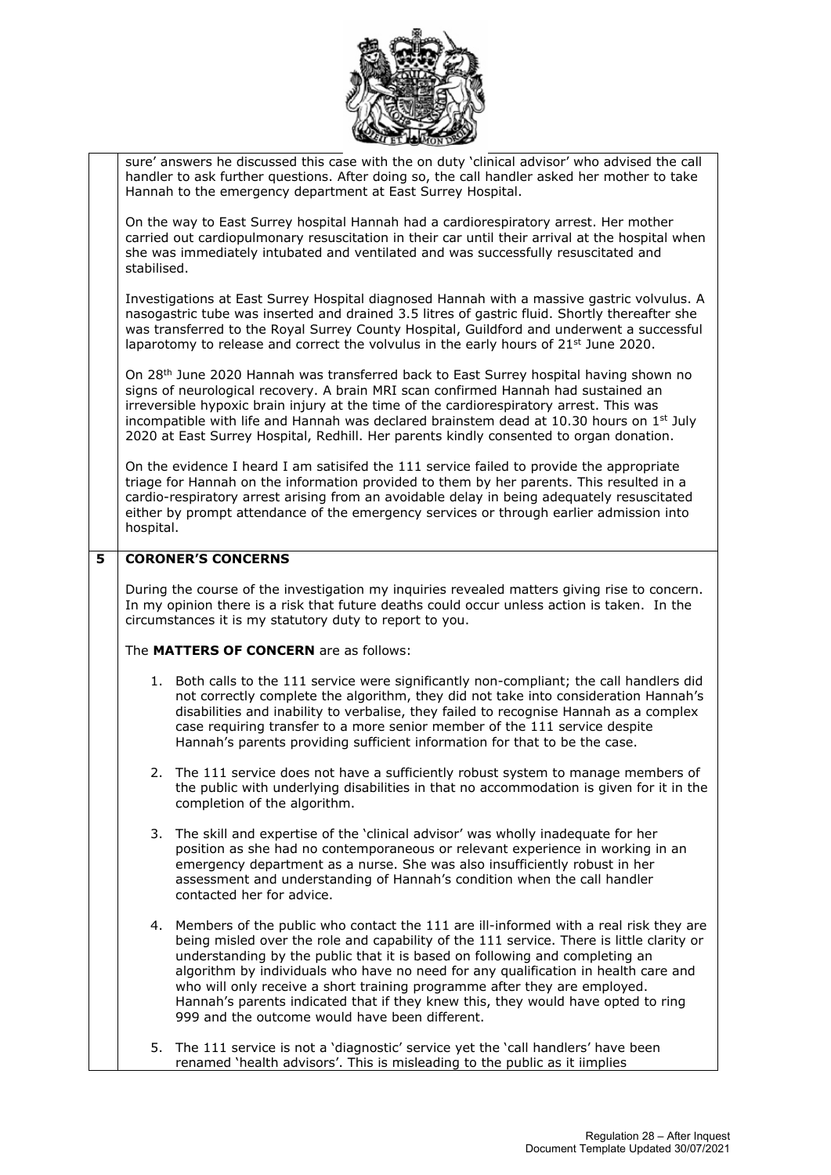

|   |                                                                                                                                                                                                                                                                                                                                                                                                                                                                            | sure' answers he discussed this case with the on duty 'clinical advisor' who advised the call<br>handler to ask further questions. After doing so, the call handler asked her mother to take<br>Hannah to the emergency department at East Surrey Hospital.                                                                                                                                                                                                                                                                                                              |  |
|---|----------------------------------------------------------------------------------------------------------------------------------------------------------------------------------------------------------------------------------------------------------------------------------------------------------------------------------------------------------------------------------------------------------------------------------------------------------------------------|--------------------------------------------------------------------------------------------------------------------------------------------------------------------------------------------------------------------------------------------------------------------------------------------------------------------------------------------------------------------------------------------------------------------------------------------------------------------------------------------------------------------------------------------------------------------------|--|
|   | stabilised.                                                                                                                                                                                                                                                                                                                                                                                                                                                                | On the way to East Surrey hospital Hannah had a cardiorespiratory arrest. Her mother<br>carried out cardiopulmonary resuscitation in their car until their arrival at the hospital when<br>she was immediately intubated and ventilated and was successfully resuscitated and                                                                                                                                                                                                                                                                                            |  |
|   |                                                                                                                                                                                                                                                                                                                                                                                                                                                                            | Investigations at East Surrey Hospital diagnosed Hannah with a massive gastric volvulus. A<br>nasogastric tube was inserted and drained 3.5 litres of gastric fluid. Shortly thereafter she<br>was transferred to the Royal Surrey County Hospital, Guildford and underwent a successful<br>laparotomy to release and correct the volvulus in the early hours of $21st$ June 2020.                                                                                                                                                                                       |  |
|   | On 28 <sup>th</sup> June 2020 Hannah was transferred back to East Surrey hospital having shown no<br>signs of neurological recovery. A brain MRI scan confirmed Hannah had sustained an<br>irreversible hypoxic brain injury at the time of the cardiorespiratory arrest. This was<br>incompatible with life and Hannah was declared brainstem dead at 10.30 hours on $1st$ July<br>2020 at East Surrey Hospital, Redhill. Her parents kindly consented to organ donation. |                                                                                                                                                                                                                                                                                                                                                                                                                                                                                                                                                                          |  |
|   | hospital.                                                                                                                                                                                                                                                                                                                                                                                                                                                                  | On the evidence I heard I am satisifed the 111 service failed to provide the appropriate<br>triage for Hannah on the information provided to them by her parents. This resulted in a<br>cardio-respiratory arrest arising from an avoidable delay in being adequately resuscitated<br>either by prompt attendance of the emergency services or through earlier admission into                                                                                                                                                                                            |  |
| 5 |                                                                                                                                                                                                                                                                                                                                                                                                                                                                            | <b>CORONER'S CONCERNS</b>                                                                                                                                                                                                                                                                                                                                                                                                                                                                                                                                                |  |
|   |                                                                                                                                                                                                                                                                                                                                                                                                                                                                            | During the course of the investigation my inquiries revealed matters giving rise to concern.<br>In my opinion there is a risk that future deaths could occur unless action is taken. In the<br>circumstances it is my statutory duty to report to you.                                                                                                                                                                                                                                                                                                                   |  |
|   | The <b>MATTERS OF CONCERN</b> are as follows:                                                                                                                                                                                                                                                                                                                                                                                                                              |                                                                                                                                                                                                                                                                                                                                                                                                                                                                                                                                                                          |  |
|   | 1.                                                                                                                                                                                                                                                                                                                                                                                                                                                                         | Both calls to the 111 service were significantly non-compliant; the call handlers did<br>not correctly complete the algorithm, they did not take into consideration Hannah's<br>disabilities and inability to verbalise, they failed to recognise Hannah as a complex<br>case requiring transfer to a more senior member of the 111 service despite<br>Hannah's parents providing sufficient information for that to be the case.                                                                                                                                        |  |
|   | 2.                                                                                                                                                                                                                                                                                                                                                                                                                                                                         | The 111 service does not have a sufficiently robust system to manage members of<br>the public with underlying disabilities in that no accommodation is given for it in the<br>completion of the algorithm.                                                                                                                                                                                                                                                                                                                                                               |  |
|   | 3.                                                                                                                                                                                                                                                                                                                                                                                                                                                                         | The skill and expertise of the 'clinical advisor' was wholly inadequate for her<br>position as she had no contemporaneous or relevant experience in working in an<br>emergency department as a nurse. She was also insufficiently robust in her<br>assessment and understanding of Hannah's condition when the call handler<br>contacted her for advice.                                                                                                                                                                                                                 |  |
|   | 4.                                                                                                                                                                                                                                                                                                                                                                                                                                                                         | Members of the public who contact the 111 are ill-informed with a real risk they are<br>being misled over the role and capability of the 111 service. There is little clarity or<br>understanding by the public that it is based on following and completing an<br>algorithm by individuals who have no need for any qualification in health care and<br>who will only receive a short training programme after they are employed.<br>Hannah's parents indicated that if they knew this, they would have opted to ring<br>999 and the outcome would have been different. |  |
|   | 5.                                                                                                                                                                                                                                                                                                                                                                                                                                                                         | The 111 service is not a 'diagnostic' service yet the 'call handlers' have been<br>renamed 'health advisors'. This is misleading to the public as it iimplies                                                                                                                                                                                                                                                                                                                                                                                                            |  |